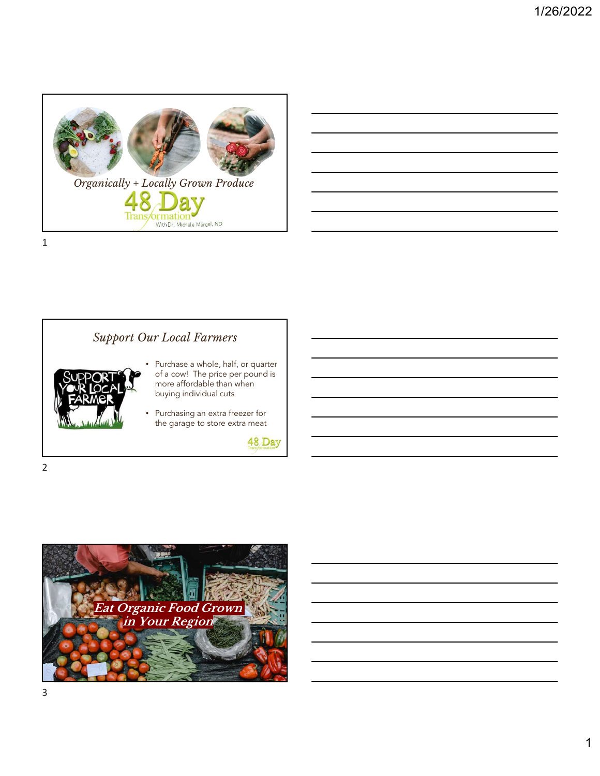

| <u> 1989 - Andrea Andrew Maria (h. 1989).</u>                                                                                                                        |  |  |
|----------------------------------------------------------------------------------------------------------------------------------------------------------------------|--|--|
| ,我们也不会有一个人的事情。""我们的人们,我们也不会有一个人的人,我们也不会有一个人的人,我们也不会有一个人的人,我们也不会有一个人的人,我们也不会有一个人的<br>第一百一十一章 我们的人,我们的人们的人们,我们的人们的人们的人们,我们的人们的人们的人们,我们的人们的人们,我们的人们的人们,我们的人们的人们,我们的人们的人 |  |  |
|                                                                                                                                                                      |  |  |
| ,我们也不会有什么?""我们的人,我们也不会有什么?""我们的人,我们也不会有什么?""我们的人,我们也不会有什么?""我们的人,我们也不会有什么?""我们的人                                                                                     |  |  |
| <u> 1989 - Johann Stoff, amerikansk politiker (d. 1989)</u>                                                                                                          |  |  |
| the contract of the contract of the contract of the contract of the contract of                                                                                      |  |  |

## Support Our Local Farmers • Purchase a whole, half, or quarter of a cow! The price per pound is more affordable than when buying individual cuts • Purchasing an extra freezer for the garage to store extra meat 48 Day

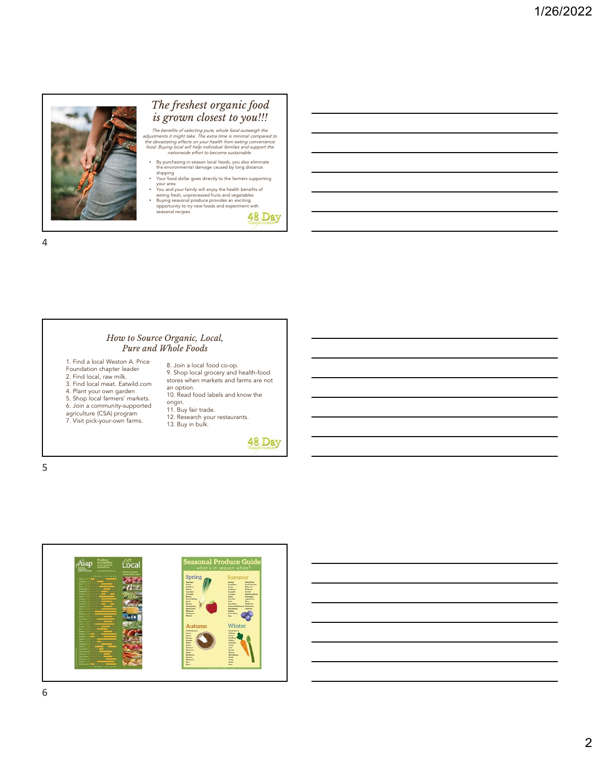

### The freshest organic food is grown closest to you!!!

The benefits of selecting pure, whole food outweigh the<br>adjustments it might take. The extra time is miniral compared to<br>the devastating effects on your health from eating convenience<br>food. Buying local will help individua

- By purchasing in-season local foods, you also eliminate the environmental damage caused by long distance
- shipping<br>• Your food dollar goes directly to the farmers supporting
- Your food collar goes directly to the farmers supporting<br>
You and your family will enjoy the health benefits of<br>
eating fresh, unprocessed fruits and vegetables<br>
Buying seasonal produce provides an exciting<br>
opportunity to

48 Day

4

#### How to Source Organic, Local, Pure and Whole Foods

1. Find a local Weston A. Price Foundation chapter leader 2. Find local, raw milk. 3. Find local meat. Eatwild.com 4. Plant your own garden 5. Shop local farmers' markets. 6. Join a community-supported agriculture (CSA) program 11. Buy fair trade. 12. Research your restaurants. 13. Buy in bulk. 7. Visit pick-your-own farms.

8. Join a local food co-op. 9. Shop local grocery and health-food stores when markets and farms are not an option. 10. Read food labels and know the

origin.<br>11. Buy fair trade.

48 Day



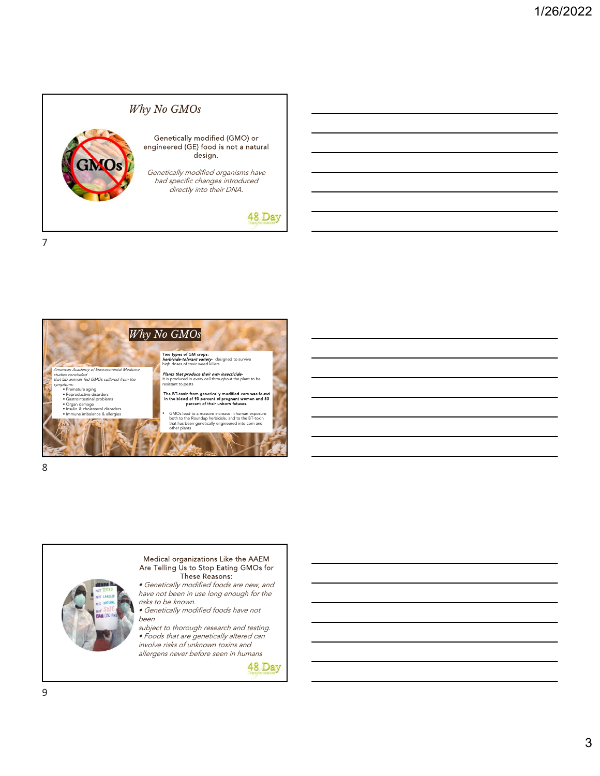





allergens never before seen in humans

48 Day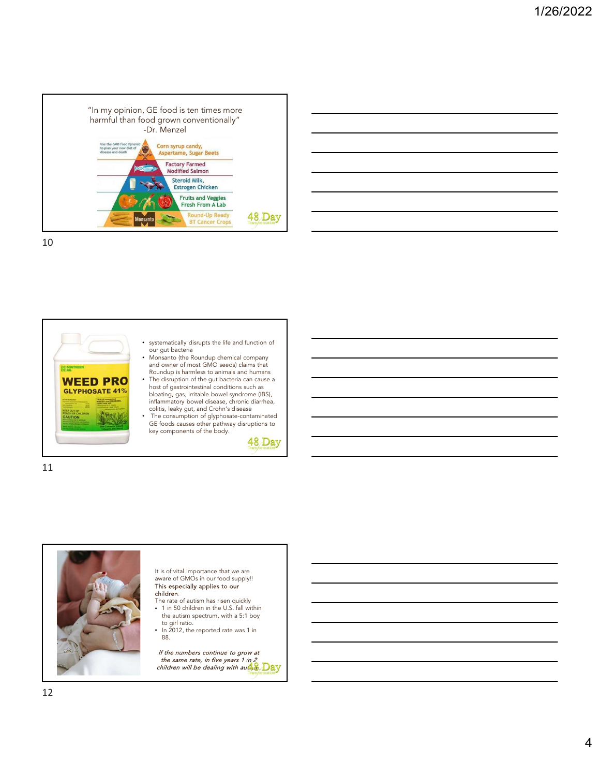





11

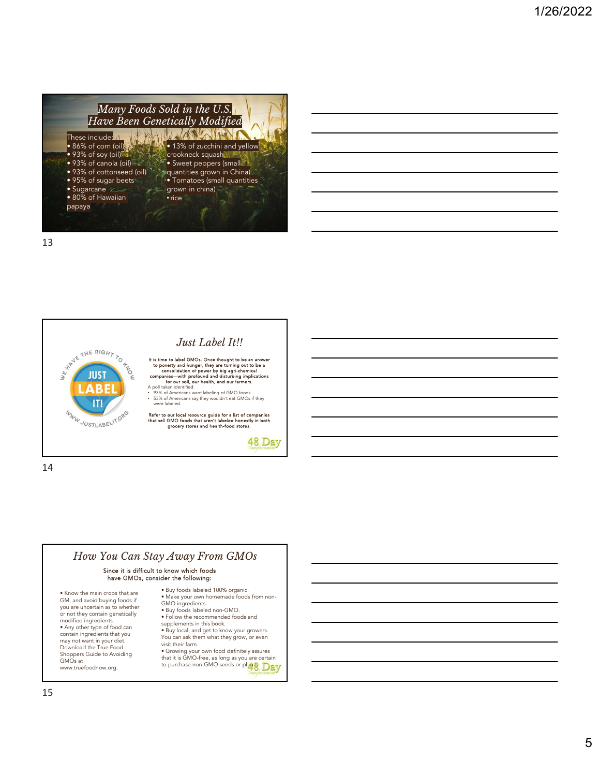

13



14



### Since it is difficult to know which foods have GMOs, consider the following:

• Know the main crops that are GM, and avoid buying foods if you are uncertain as to whether or not they contain genetically modified ingredients. • Any other type of food can contain ingredients that you may not want in your diet. Download the True Food Shoppers Guide to Avoiding GMOs at www.truefoodnow.org.

- Buy foods labeled 100% organic. • Make your own homemade foods from non-GMO ingredients.
- Buy foods labeled non-GMO.
- Follow the recommended foods and supplements in this book. • Buy local, and get to know your growers.
- You can ask them what they grow, or even<br>visit their farm.
- visit their farm.<br>• Growing your own food definitely assures<br>that it is GMO-free, as long as you are certain<br>to purchase non-GMO seeds or plants.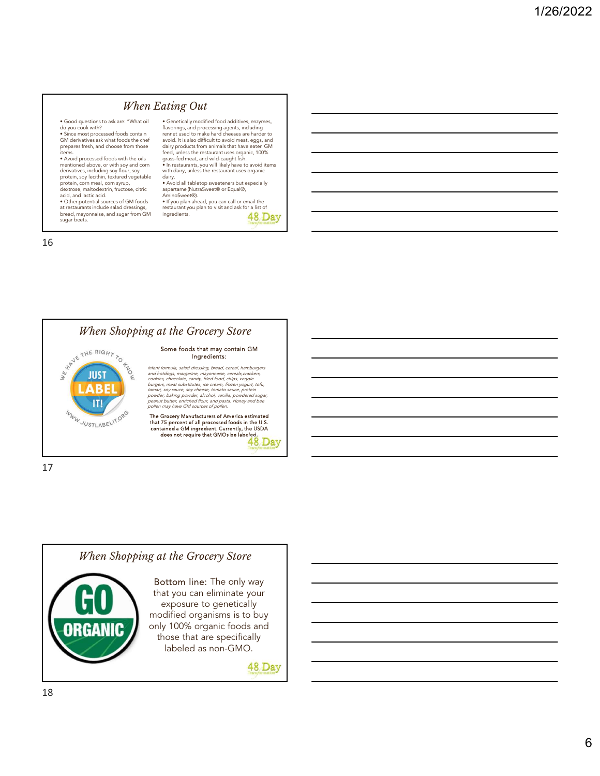#### When Eating Out

• Good questions to ask are: "What oil do you cook with? • Since most processed foods contain<br>• Since most processed foods contain<br>GM derivatives ask what foods the chef

prepares fresh, and choose from those<br>items.

• Avoid processed foods with the oils mentioned above, or with soy and corn derivatives, including soy flour, soy protein, soy lecithin, textured vegetable protein, corn meal, corn syrup, dextrose, maltodextrin, fructose, citric

acid, and lactic acid. • Other potential sources of GM foods at restaurants include salad dressings, bread, mayonnaise, and sugar from GM sugar beets.

• Genetically modified food additives, enzymes,<br>flavorings, and processing agents, including<br>rennet used to make hard cheeses are harder to avoid. It is also difficult to avoid meat, eggs, and dairy products from animals that have eaten GM feed, unless the restaurant uses organic, 100% grass-fed meat, and wild-caught fish. • In restaurants, you will likely have to avoid items with dairy, unless the restaurant uses organic

dairy.<br>• Avoid all tabletop sweeteners but especially<br>aspartame (NutraSweet® or Equal®,

AminoSweet®). • If you plan ahead, you can call or email the restaurant you plan to visit and ask for a list of<br>ingredients.<br>48 Dav ingredients.

16





48 Day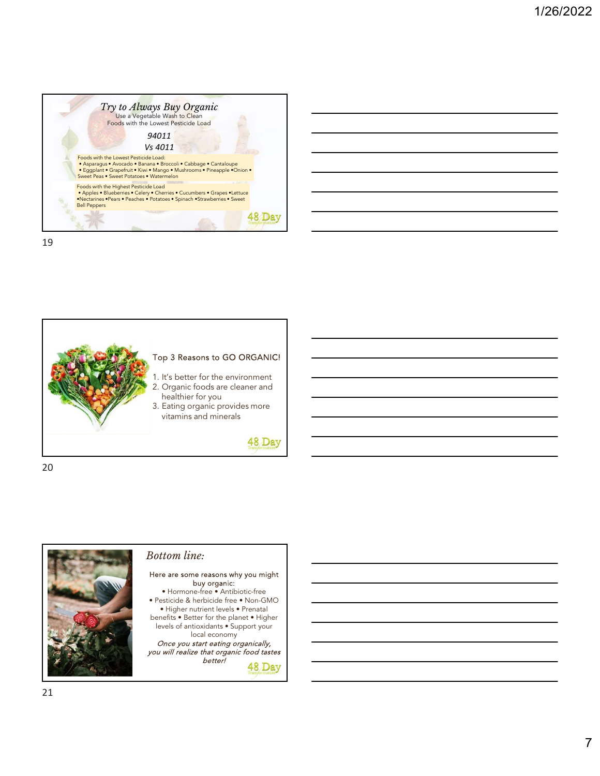







#### Bottom line:

# Here are some reasons why you might buy organic:

• Hormone-free • Antibiotic-free • Pesticide & herbicide free • Non-GMO • Higher nutrient levels • Prenatal benefits • Better for the planet • Higher levels of antioxidants • Support your local economy

Once you start eating organically, you will realize that organic food tastes better!